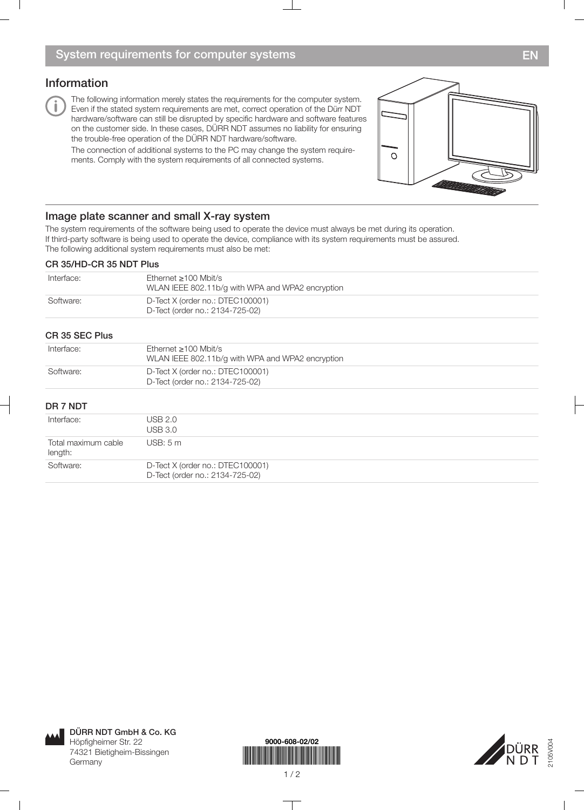## Information

The following information merely states the requirements for the computer system. Even if the stated system requirements are met, correct operation of the Dürr NDT hardware/software can still be disrupted by specific hardware and software features on the customer side. In these cases, DÜRR NDT assumes no liability for ensuring the trouble-free operation of the DÜRR NDT hardware/software.

The connection of additional systems to the PC may change the system requirements. Comply with the system requirements of all connected systems.



### Image plate scanner and small X-ray system

The system requirements of the software being used to operate the device must always be met during its operation. If third-party software is being used to operate the device, compliance with its system requirements must be assured. The following additional system requirements must also be met:

#### CR 35/HD-CR 35 NDT Plus

| Interface: | Ethernet $>100$ Mbit/s<br>WLAN IEEE 802.11b/g with WPA and WPA2 encryption |
|------------|----------------------------------------------------------------------------|
| Software:  | D-Tect X (order no.: DTEC100001)<br>D-Tect (order no.: 2134-725-02)        |

#### CR 35 SEC Plus

| Interface: | $E$ thernet >100 Mbit/s<br>WLAN IEEE 802.11b/g with WPA and WPA2 encryption |
|------------|-----------------------------------------------------------------------------|
| Software:  | D-Tect X (order no.: DTEC100001)<br>D-Tect (order no.: 2134-725-02)         |

#### DR 7 NDT

| -------                        |                                                                     |  |  |  |
|--------------------------------|---------------------------------------------------------------------|--|--|--|
| Interface:                     | USB 2.0<br><b>USB 3.0</b>                                           |  |  |  |
| Total maximum cable<br>length: | USB: 5m                                                             |  |  |  |
| Software:                      | D-Tect X (order no.: DTEC100001)<br>D-Tect (order no.: 2134-725-02) |  |  |  |



DÜRR NDT GmbH & Co. KG Höpfigheimer Str. 22 74321 Bietigheim-Bissingen Germany



 $1/2$